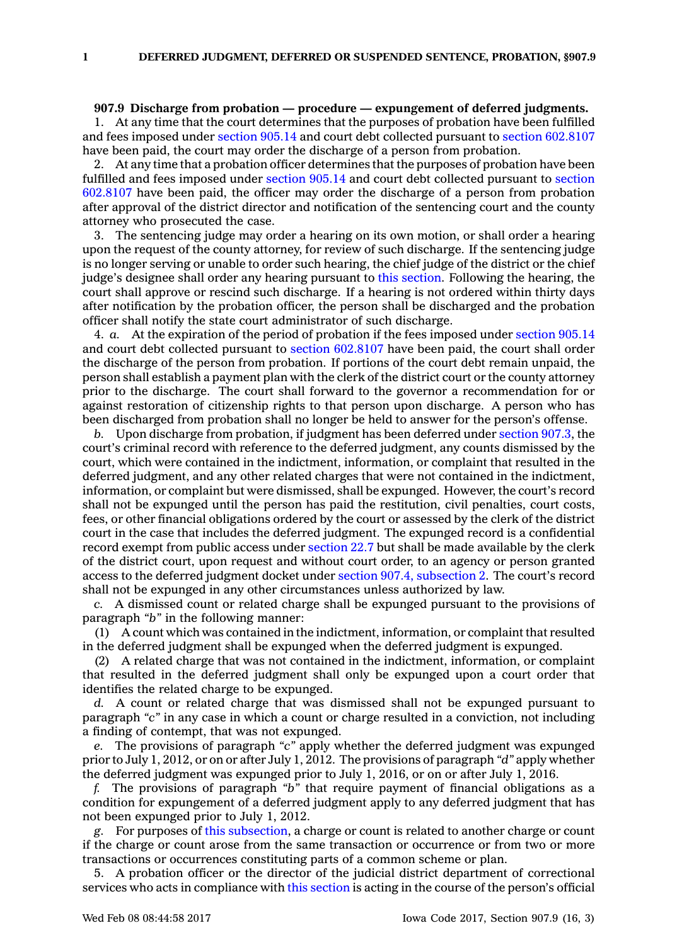## **907.9 Discharge from probation — procedure — expungement of deferred judgments.**

1. At any time that the court determines that the purposes of probation have been fulfilled and fees imposed under [section](https://www.legis.iowa.gov/docs/code/905.14.pdf) 905.14 and court debt collected pursuant to section [602.8107](https://www.legis.iowa.gov/docs/code/602.8107.pdf) have been paid, the court may order the discharge of <sup>a</sup> person from probation.

2. At any time that <sup>a</sup> probation officer determines that the purposes of probation have been fulfilled and fees imposed under [section](https://www.legis.iowa.gov/docs/code/905.14.pdf) 905.14 and court debt collected pursuant to [section](https://www.legis.iowa.gov/docs/code/602.8107.pdf) [602.8107](https://www.legis.iowa.gov/docs/code/602.8107.pdf) have been paid, the officer may order the discharge of <sup>a</sup> person from probation after approval of the district director and notification of the sentencing court and the county attorney who prosecuted the case.

The sentencing judge may order a hearing on its own motion, or shall order a hearing upon the request of the county attorney, for review of such discharge. If the sentencing judge is no longer serving or unable to order such hearing, the chief judge of the district or the chief judge's designee shall order any hearing pursuant to this [section](https://www.legis.iowa.gov/docs/code/907.9.pdf). Following the hearing, the court shall approve or rescind such discharge. If <sup>a</sup> hearing is not ordered within thirty days after notification by the probation officer, the person shall be discharged and the probation officer shall notify the state court administrator of such discharge.

4. *a.* At the expiration of the period of probation if the fees imposed under [section](https://www.legis.iowa.gov/docs/code/905.14.pdf) 905.14 and court debt collected pursuant to section [602.8107](https://www.legis.iowa.gov/docs/code/602.8107.pdf) have been paid, the court shall order the discharge of the person from probation. If portions of the court debt remain unpaid, the person shall establish <sup>a</sup> payment plan with the clerk of the district court or the county attorney prior to the discharge. The court shall forward to the governor <sup>a</sup> recommendation for or against restoration of citizenship rights to that person upon discharge. A person who has been discharged from probation shall no longer be held to answer for the person's offense.

*b.* Upon discharge from probation, if judgment has been deferred under [section](https://www.legis.iowa.gov/docs/code/907.3.pdf) 907.3, the court's criminal record with reference to the deferred judgment, any counts dismissed by the court, which were contained in the indictment, information, or complaint that resulted in the deferred judgment, and any other related charges that were not contained in the indictment, information, or complaint but were dismissed, shall be expunged. However, the court's record shall not be expunged until the person has paid the restitution, civil penalties, court costs, fees, or other financial obligations ordered by the court or assessed by the clerk of the district court in the case that includes the deferred judgment. The expunged record is <sup>a</sup> confidential record exempt from public access under [section](https://www.legis.iowa.gov/docs/code/22.7.pdf) 22.7 but shall be made available by the clerk of the district court, upon request and without court order, to an agency or person granted access to the deferred judgment docket under section 907.4, [subsection](https://www.legis.iowa.gov/docs/code/907.4.pdf) 2. The court's record shall not be expunged in any other circumstances unless authorized by law.

*c.* A dismissed count or related charge shall be expunged pursuant to the provisions of paragraph *"b"* in the following manner:

(1) A count which was contained in the indictment, information, or complaint that resulted in the deferred judgment shall be expunged when the deferred judgment is expunged.

(2) A related charge that was not contained in the indictment, information, or complaint that resulted in the deferred judgment shall only be expunged upon <sup>a</sup> court order that identifies the related charge to be expunged.

*d.* A count or related charge that was dismissed shall not be expunged pursuant to paragraph *"c"* in any case in which <sup>a</sup> count or charge resulted in <sup>a</sup> conviction, not including <sup>a</sup> finding of contempt, that was not expunged.

*e.* The provisions of paragraph *"c"* apply whether the deferred judgment was expunged prior to July 1, 2012, or on or after July 1, 2012. The provisions of paragraph *"d"* apply whether the deferred judgment was expunged prior to July 1, 2016, or on or after July 1, 2016.

*f.* The provisions of paragraph *"b"* that require payment of financial obligations as <sup>a</sup> condition for expungement of <sup>a</sup> deferred judgment apply to any deferred judgment that has not been expunged prior to July 1, 2012.

*g.* For purposes of this [subsection](https://www.legis.iowa.gov/docs/code/907.9.pdf), <sup>a</sup> charge or count is related to another charge or count if the charge or count arose from the same transaction or occurrence or from two or more transactions or occurrences constituting parts of <sup>a</sup> common scheme or plan.

5. A probation officer or the director of the judicial district department of correctional services who acts in compliance with this [section](https://www.legis.iowa.gov/docs/code/907.9.pdf) is acting in the course of the person's official